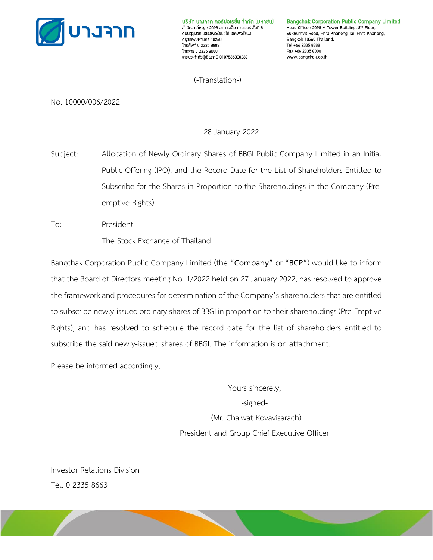

บริษัท บางาาก คอร์ปอเรชั่น าำกัด (มหาชน) สำนักงานใหญ่ : 2098 อาคารเอ็ม ทาวเวอร์ ซั้นที่ 8 ดนนสฺขฺมวิท แขวงพระโขนงใต้ เขตพระโขนง กรุงเทพมหานคร 10260 Insrtwn 0 2335 8888 โทรสาร 0 2335 8000 เลขประจำตัวผู้เสียภาษี 0107536000269

**Bangchak Corporation Public Company Limited** Head Office : 2098 M Tower Building, 8th Floor, Sukhumvit Road, Phra Khanong Tai, Phra Khanong, Bangkok 10260 Thailand. Tel +66 2335 8888 Fax +66 2335 8000 www.bangchak.co.th

(-Translation-)

No. 10000/006/2022

28 January 2022

Subject: Allocation of Newly Ordinary Shares of BBGI Public Company Limited in an Initial Public Offering (IPO), and the Record Date for the List of Shareholders Entitled to Subscribe for the Shares in Proportion to the Shareholdings in the Company (Preemptive Rights)

To: President The Stock Exchange of Thailand

Bangchak Corporation Public Company Limited (the "**Company**" or "**BCP**") would like to inform that the Board of Directors meeting No. 1/2022 held on 27 January 2022, has resolved to approve the framework and procedures for determination of the Company's shareholders that are entitled to subscribe newly-issued ordinary shares of BBGI in proportion to their shareholdings (Pre-Emptive Rights), and has resolved to schedule the record date for the list of shareholders entitled to subscribe the said newly-issued shares of BBGI. The information is on attachment.

Please be informed accordingly,

Yours sincerely, -signed- (Mr. Chaiwat Kovavisarach) President and Group Chief Executive Officer

Investor Relations Division Tel. 0 2335 8663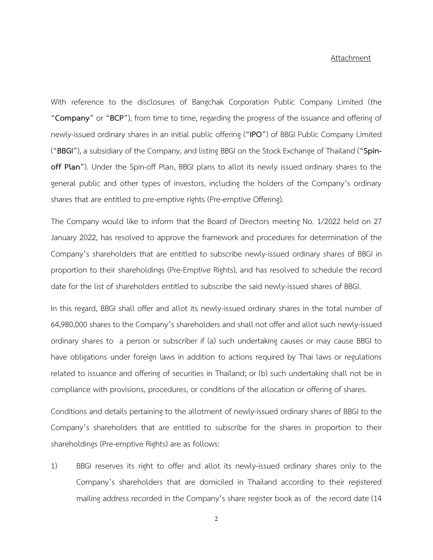## Attachment

With reference to the disclosures of Bangchak Corporation Public Company Limited (the "**Company**" or "**BCP**"), from time to time, regarding the progress of the issuance and offering of newly-issued ordinary shares in an initial public offering ("**IPO**") of BBGI Public Company Limited ("**BBGI**"), a subsidiary of the Company, and listing BBGI on the Stock Exchange of Thailand ("**Spinoff Plan**"). Under the Spin-off Plan, BBGI plans to allot its newly issued ordinary shares to the general public and other types of investors, including the holders of the Company's ordinary shares that are entitled to pre-emptive rights (Pre-emptive Offering).

The Company would like to inform that the Board of Directors meeting No. 1/2022 held on 27 January 2022, has resolved to approve the framework and procedures for determination of the Company's shareholders that are entitled to subscribe newly-issued ordinary shares of BBGI in proportion to their shareholdings (Pre-Emptive Rights), and has resolved to schedule the record date for the list of shareholders entitled to subscribe the said newly-issued shares of BBGI.

In this regard, BBGI shall offer and allot its newly-issued ordinary shares in the total number of 64,980,000 shares to the Company's shareholders and shall not offer and allot such newly-issued ordinary shares to a person or subscriber if (a) such undertaking causes or may cause BBGI to have obligations under foreign laws in addition to actions required by Thai laws or regulations related to issuance and offering of securities in Thailand; or (b) such undertaking shall not be in compliance with provisions, procedures, or conditions of the allocation or offering of shares.

Conditions and details pertaining to the allotment of newly-issued ordinary shares of BBGI to the Company's shareholders that are entitled to subscribe for the shares in proportion to their shareholdings (Pre-emptive Rights) are as follows:

1) BBGI reserves its right to offer and allot its newly-issued ordinary shares only to the Company's shareholders that are domiciled in Thailand according to their registered mailing address recorded in the Company's share register book as of the record date (14

2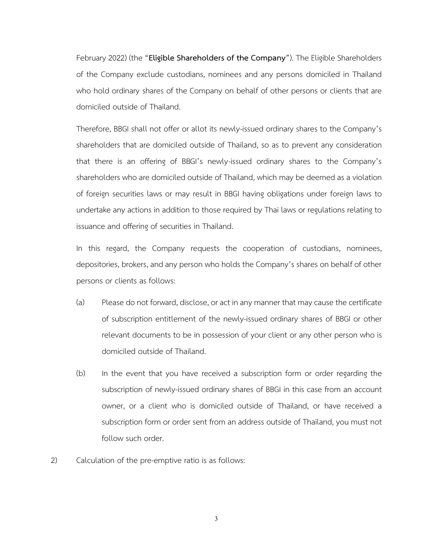February 2022) (the "**Eligible Shareholders of the Company**"). The Eligible Shareholders of the Company exclude custodians, nominees and any persons domiciled in Thailand who hold ordinary shares of the Company on behalf of other persons or clients that are domiciled outside of Thailand.

Therefore, BBGI shall not offer or allot its newly-issued ordinary shares to the Company's shareholders that are domiciled outside of Thailand, so as to prevent any consideration that there is an offering of BBGI's newly-issued ordinary shares to the Company's shareholders who are domiciled outside of Thailand, which may be deemed as a violation of foreign securities laws or may result in BBGI having obligations under foreign laws to undertake any actions in addition to those required by Thai laws or regulations relating to issuance and offering of securities in Thailand.

In this regard, the Company requests the cooperation of custodians, nominees, depositories, brokers, and any person who holds the Company's shares on behalf of other persons or clients as follows:

- (a) Please do not forward, disclose, or act in any manner that may causethe certificate of subscription entitlement of the newly-issued ordinary shares of BBGI or other relevant documents to be in possession of your client or any other person who is domiciled outside of Thailand.
- (b) In the event that you have received a subscription form or order regarding the subscription of newly-issued ordinary shares of BBGI in this case from an account owner, or a client who is domiciled outside of Thailand, or have received a subscription form or order sent from an address outside of Thailand, you must not follow such order.
- 2) Calculation of the pre-emptive ratio is as follows: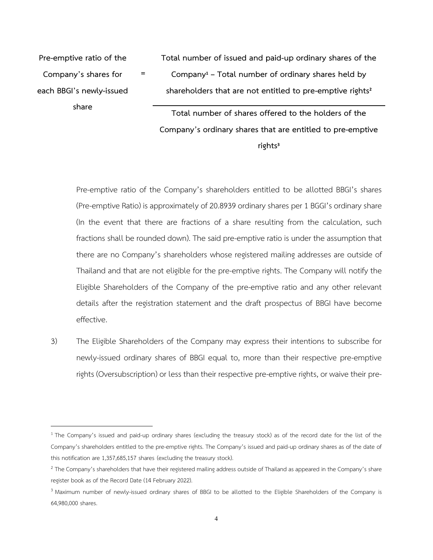**Pre-emptive ratio of the Company's shares for each BBGI's newly-issued share**

**=**

**Total number of issued and paid-up ordinary shares of the Company<sup>1</sup> – Total number of ordinary shares held by shareholders that are not entitled to pre-emptive rights<sup>2</sup>**

**Total number of shares offered to the holders of the Company's ordinary shares that are entitled to pre-emptive rights<sup>3</sup>**

Pre-emptive ratio of the Company's shareholders entitled to be allotted BBGI's shares (Pre-emptive Ratio) is approximately of 20.8939 ordinary shares per 1 BGGI's ordinary share (In the event that there are fractions of a share resulting from the calculation, such fractions shall be rounded down). The said pre-emptive ratio is under the assumption that there are no Company's shareholders whose registered mailing addresses are outside of Thailand and that are not eligible for the pre-emptive rights. The Company will notify the Eligible Shareholders of the Company of the pre-emptive ratio and any other relevant details after the registration statement and the draft prospectus of BBGI have become effective.

3) The Eligible Shareholders of the Company may express their intentions to subscribe for newly-issued ordinary shares of BBGI equal to, more than their respective pre-emptive rights (Oversubscription) or less than their respective pre-emptive rights, or waive their pre-

<sup>&</sup>lt;sup>1</sup> The Company's issued and paid-up ordinary shares (excluding the treasury stock) as of the record date for the list of the Company's shareholders entitled to the pre-emptive rights. The Company's issued and paid-up ordinary shares as of the date of this notification are 1,357,685,157 shares (excluding the treasury stock).

<sup>&</sup>lt;sup>2</sup> The Company's shareholders that have their registered mailing address outside of Thailand as appeared in the Company's share register book as of the Record Date (14 February 2022).

<sup>&</sup>lt;sup>3</sup> Maximum number of newly-issued ordinary shares of BBGI to be allotted to the Eligible Shareholders of the Company is 64,980,000 shares.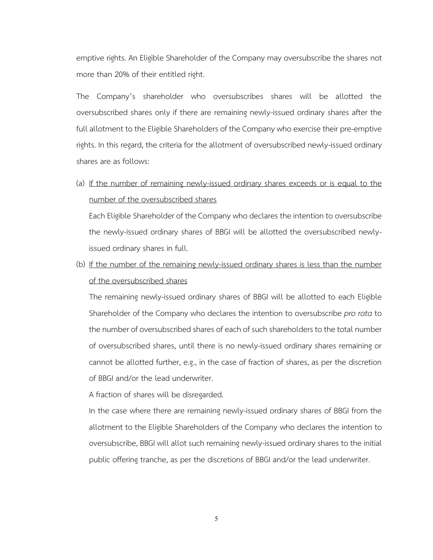emptive rights. An Eligible Shareholder of the Company may oversubscribe the shares not more than 20% of their entitled right.

The Company's shareholder who oversubscribes shares will be allotted the oversubscribed shares only if there are remaining newly-issued ordinary shares after the full allotment to the Eligible Shareholders of the Company who exercise their pre-emptive rights. In this regard, the criteria for the allotment of oversubscribed newly-issued ordinary shares are as follows:

(a) If the number of remaining newly-issued ordinary shares exceeds or is equal to the number of the oversubscribed shares

Each Eligible Shareholder of the Company who declares the intention to oversubscribe the newly-issued ordinary shares of BBGI will be allotted the oversubscribed newlyissued ordinary shares in full.

(b) If the number of the remaining newly-issued ordinary shares is less than the number of the oversubscribed shares

The remaining newly-issued ordinary shares of BBGI will be allotted to each Eligible Shareholder of the Company who declares the intention to oversubscribe *pro rata* to the number of oversubscribed shares of each of such shareholders to the total number of oversubscribed shares, until there is no newly-issued ordinary shares remaining or cannot be allotted further, e.g., in the case of fraction of shares, as per the discretion of BBGI and/or the lead underwriter.

A fraction of shares will be disregarded.

In the case where there are remaining newly-issued ordinary shares of BBGI from the allotment to the Eligible Shareholders of the Company who declares the intention to oversubscribe, BBGI will allot such remaining newly-issued ordinary shares to the initial public offering tranche, as per the discretions of BBGI and/or the lead underwriter.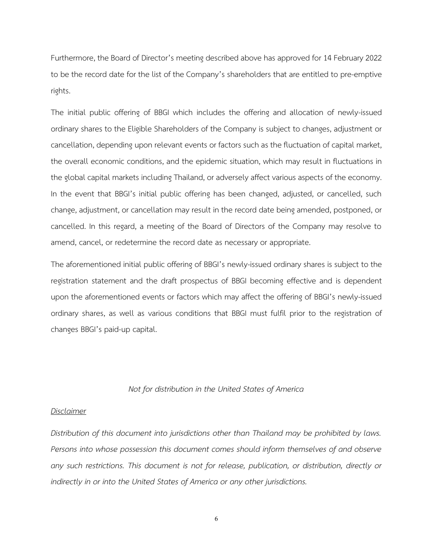Furthermore, the Board of Director's meeting described above has approved for 14 February 2022 to be the record date for the list of the Company's shareholders that are entitled to pre-emptive rights.

The initial public offering of BBGI which includes the offering and allocation of newly-issued ordinary shares to the Eligible Shareholders of the Company is subject to changes, adjustment or cancellation, depending upon relevant events or factors such as the fluctuation of capital market, the overall economic conditions, and the epidemic situation, which may result in fluctuations in the global capital markets including Thailand, or adversely affect various aspects of the economy. In the event that BBGI's initial public offering has been changed, adjusted, or cancelled, such change, adjustment, or cancellation may result in the record date being amended, postponed, or cancelled. In this regard, a meeting of the Board of Directors of the Company may resolve to amend, cancel, or redetermine the record date as necessary or appropriate.

The aforementioned initial public offering of BBGI's newly-issued ordinary shares is subject to the registration statement and the draft prospectus of BBGI becoming effective and is dependent upon the aforementioned events or factors which may affect the offering of BBGI's newly-issued ordinary shares, as well as various conditions that BBGI must fulfil prior to the registration of changes BBGI's paid-up capital.

## *Not for distribution in the United States of America*

## *Disclaimer*

*Distribution of this document into jurisdictions other than Thailand may be prohibited by laws. Persons into whose possession this document comes should inform themselves of and observe any such restrictions. This document is not for release, publication, or distribution, directly or indirectly in or into the United States of America or any other jurisdictions.*